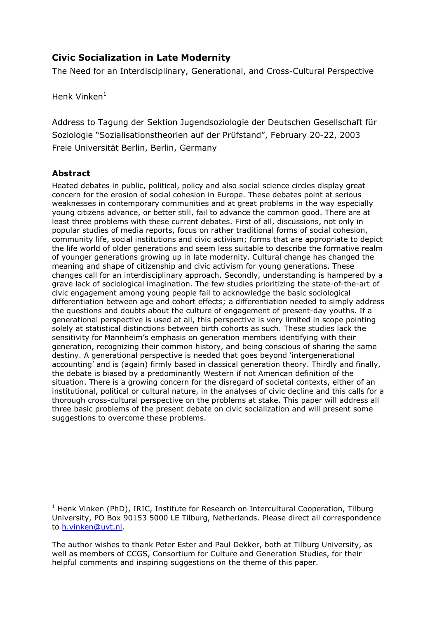## **Civic Socialization in Late Modernitv**

The Need for an Interdisciplinary, Generational, and Cross-Cultural Perspective

Henk Vinken $<sup>1</sup>$ </sup>

Address to Tagung der Sektion Jugendsoziologie der Deutschen Gesellschaft für Soziologie "Sozialisationstheorien auf der Prüfstand", February 20-22, 2003 Freie Universität Berlin, Berlin, Germany

### **Abstract**

Heated debates in public, political, policy and also social science circles display great concern for the erosion of social cohesion in Europe. These debates point at serious weaknesses in contemporary communities and at great problems in the way especially young citizens advance, or better still, fail to advance the common good. There are at least three problems with these current debates. First of all, discussions, not only in popular studies of media reports, focus on rather traditional forms of social cohesion, community life, social institutions and civic activism; forms that are appropriate to depict the life world of older generations and seem less suitable to describe the formative realm of younger generations growing up in late modernity. Cultural change has changed the meaning and shape of citizenship and civic activism for young generations. These changes call for an interdisciplinary approach. Secondly, understanding is hampered by a grave lack of sociological imagination. The few studies prioritizing the state-of-the-art of civic engagement among young people fail to acknowledge the basic sociological differentiation between age and cohort effects; a differentiation needed to simply address the questions and doubts about the culture of engagement of present-day youths. If a generational perspective is used at all, this perspective is very limited in scope pointing solely at statistical distinctions between birth cohorts as such. These studies lack the sensitivity for Mannheim's emphasis on generation members identifying with their generation, recognizing their common history, and being conscious of sharing the same destiny. A generational perspective is needed that goes beyond 'intergenerational accounting' and is (again) firmly based in classical generation theory. Thirdly and finally, the debate is biased by a predominantly Western if not American definition of the situation. There is a growing concern for the disregard of societal contexts, either of an institutional, political or cultural nature, in the analyses of civic decline and this calls for a thorough cross-cultural perspective on the problems at stake. This paper will address all three basic problems of the present debate on civic socialization and will present some suggestions to overcome these problems.

<sup>&</sup>lt;sup>1</sup> Henk Vinken (PhD), IRIC, Institute for Research on Intercultural Cooperation, Tilburg University, PO Box 90153 5000 LE Tilburg, Netherlands. Please direct all correspondence to h.vinken@uvt.nl.

The author wishes to thank Peter Ester and Paul Dekker, both at Tilburg University, as well as members of CCGS, Consortium for Culture and Generation Studies, for their helpful comments and inspiring suggestions on the theme of this paper.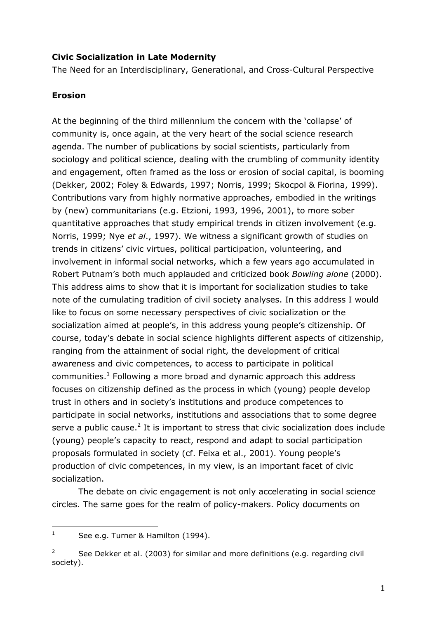### **Civic Socialization in Late Modernity**

The Need for an Interdisciplinary, Generational, and Cross-Cultural Perspective

### **Erosion**

At the beginning of the third millennium the concern with the 'collapse' of community is, once again, at the very heart of the social science research agenda. The number of publications by social scientists, particularly from sociology and political science, dealing with the crumbling of community identity and engagement, often framed as the loss or erosion of social capital, is booming (Dekker, 2002; Foley & Edwards, 1997; Norris, 1999; Skocpol & Fiorina, 1999). Contributions vary from highly normative approaches, embodied in the writings by (new) communitarians (e.g. Etzioni, 1993, 1996, 2001), to more sober quantitative approaches that study empirical trends in citizen involvement (e.g. Norris, 1999; Nye et al., 1997). We witness a significant growth of studies on trends in citizens' civic virtues, political participation, volunteering, and involvement in informal social networks, which a few years ago accumulated in Robert Putnam's both much applauded and criticized book Bowling alone (2000). This address aims to show that it is important for socialization studies to take note of the cumulating tradition of civil society analyses. In this address I would like to focus on some necessary perspectives of civic socialization or the socialization aimed at people's, in this address young people's citizenship. Of course, today's debate in social science highlights different aspects of citizenship, ranging from the attainment of social right, the development of critical awareness and civic competences, to access to participate in political communities.<sup>1</sup> Following a more broad and dynamic approach this address focuses on citizenship defined as the process in which (young) people develop trust in others and in society's institutions and produce competences to participate in social networks, institutions and associations that to some degree serve a public cause.<sup>2</sup> It is important to stress that civic socialization does include (young) people's capacity to react, respond and adapt to social participation proposals formulated in society (cf. Feixa et al., 2001). Young people's production of civic competences, in my view, is an important facet of civic socialization.

The debate on civic engagement is not only accelerating in social science circles. The same goes for the realm of policy-makers. Policy documents on

 $\mathbf{1}$ See e.g. Turner & Hamilton (1994).

 $\overline{2}$ See Dekker et al. (2003) for similar and more definitions (e.g. regarding civil society).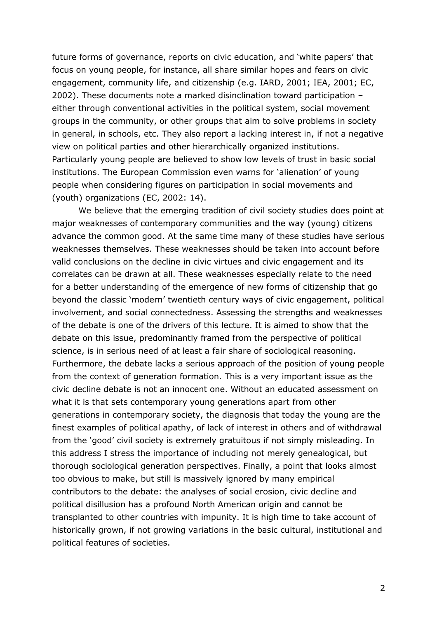future forms of governance, reports on civic education, and 'white papers' that focus on young people, for instance, all share similar hopes and fears on civic engagement, community life, and citizenship (e.g. IARD, 2001; IEA, 2001; EC, 2002). These documents note a marked disinclination toward participation either through conventional activities in the political system, social movement groups in the community, or other groups that aim to solve problems in society in general, in schools, etc. They also report a lacking interest in, if not a negative view on political parties and other hierarchically organized institutions. Particularly young people are believed to show low levels of trust in basic social institutions. The European Commission even warns for 'alienation' of young people when considering figures on participation in social movements and (youth) organizations (EC, 2002: 14).

We believe that the emerging tradition of civil society studies does point at major weaknesses of contemporary communities and the way (young) citizens advance the common good. At the same time many of these studies have serious weaknesses themselves. These weaknesses should be taken into account before valid conclusions on the decline in civic virtues and civic engagement and its correlates can be drawn at all. These weaknesses especially relate to the need for a better understanding of the emergence of new forms of citizenship that go beyond the classic 'modern' twentieth century ways of civic engagement, political involvement, and social connectedness. Assessing the strengths and weaknesses of the debate is one of the drivers of this lecture. It is aimed to show that the debate on this issue, predominantly framed from the perspective of political science, is in serious need of at least a fair share of sociological reasoning. Furthermore, the debate lacks a serious approach of the position of young people from the context of generation formation. This is a very important issue as the civic decline debate is not an innocent one. Without an educated assessment on what it is that sets contemporary young generations apart from other generations in contemporary society, the diagnosis that today the young are the finest examples of political apathy, of lack of interest in others and of withdrawal from the 'good' civil society is extremely gratuitous if not simply misleading. In this address I stress the importance of including not merely genealogical, but thorough sociological generation perspectives. Finally, a point that looks almost too obvious to make, but still is massively ignored by many empirical contributors to the debate: the analyses of social erosion, civic decline and political disillusion has a profound North American origin and cannot be transplanted to other countries with impunity. It is high time to take account of historically grown, if not growing variations in the basic cultural, institutional and political features of societies.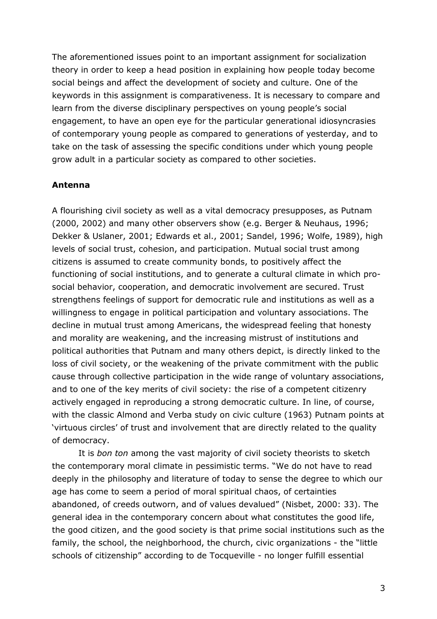The aforementioned issues point to an important assignment for socialization theory in order to keep a head position in explaining how people today become social beings and affect the development of society and culture. One of the keywords in this assignment is comparativeness. It is necessary to compare and learn from the diverse disciplinary perspectives on young people's social engagement, to have an open eye for the particular generational idiosyncrasies of contemporary young people as compared to generations of yesterday, and to take on the task of assessing the specific conditions under which young people grow adult in a particular society as compared to other societies.

### Antenna

A flourishing civil society as well as a vital democracy presupposes, as Putnam (2000, 2002) and many other observers show (e.g. Berger & Neuhaus, 1996; Dekker & Uslaner, 2001; Edwards et al., 2001; Sandel, 1996; Wolfe, 1989), high levels of social trust, cohesion, and participation. Mutual social trust among citizens is assumed to create community bonds, to positively affect the functioning of social institutions, and to generate a cultural climate in which prosocial behavior, cooperation, and democratic involvement are secured. Trust strengthens feelings of support for democratic rule and institutions as well as a willingness to engage in political participation and voluntary associations. The decline in mutual trust among Americans, the widespread feeling that honesty and morality are weakening, and the increasing mistrust of institutions and political authorities that Putnam and many others depict, is directly linked to the loss of civil society, or the weakening of the private commitment with the public cause through collective participation in the wide range of voluntary associations, and to one of the key merits of civil society: the rise of a competent citizenry actively engaged in reproducing a strong democratic culture. In line, of course, with the classic Almond and Verba study on civic culture (1963) Putnam points at 'virtuous circles' of trust and involvement that are directly related to the quality of democracy.

It is bon ton among the vast majority of civil society theorists to sketch the contemporary moral climate in pessimistic terms. "We do not have to read deeply in the philosophy and literature of today to sense the degree to which our age has come to seem a period of moral spiritual chaos, of certainties abandoned, of creeds outworn, and of values devalued" (Nisbet, 2000: 33). The general idea in the contemporary concern about what constitutes the good life, the good citizen, and the good society is that prime social institutions such as the family, the school, the neighborhood, the church, civic organizations - the "little schools of citizenship" according to de Tocqueville - no longer fulfill essential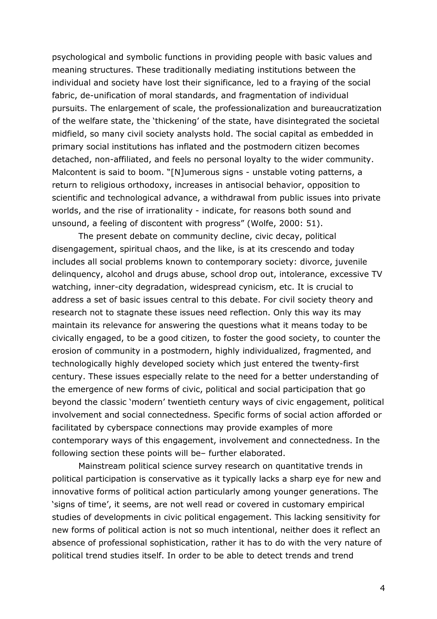psychological and symbolic functions in providing people with basic values and meaning structures. These traditionally mediating institutions between the individual and society have lost their significance, led to a fraying of the social fabric, de-unification of moral standards, and fragmentation of individual pursuits. The enlargement of scale, the professionalization and bureaucratization of the welfare state, the 'thickening' of the state, have disintegrated the societal midfield, so many civil society analysts hold. The social capital as embedded in primary social institutions has inflated and the postmodern citizen becomes detached, non-affiliated, and feels no personal loyalty to the wider community. Malcontent is said to boom. "[N]umerous signs - unstable voting patterns, a return to religious orthodoxy, increases in antisocial behavior, opposition to scientific and technological advance, a withdrawal from public issues into private worlds, and the rise of irrationality - indicate, for reasons both sound and unsound, a feeling of discontent with progress" (Wolfe, 2000: 51).

The present debate on community decline, civic decay, political disengagement, spiritual chaos, and the like, is at its crescendo and today includes all social problems known to contemporary society: divorce, juvenile delinguency, alcohol and drugs abuse, school drop out, intolerance, excessive TV watching, inner-city degradation, widespread cynicism, etc. It is crucial to address a set of basic issues central to this debate. For civil society theory and research not to stagnate these issues need reflection. Only this way its may maintain its relevance for answering the questions what it means today to be civically engaged, to be a good citizen, to foster the good society, to counter the erosion of community in a postmodern, highly individualized, fragmented, and technologically highly developed society which just entered the twenty-first century. These issues especially relate to the need for a better understanding of the emergence of new forms of civic, political and social participation that go beyond the classic 'modern' twentieth century ways of civic engagement, political involvement and social connectedness. Specific forms of social action afforded or facilitated by cyberspace connections may provide examples of more contemporary ways of this engagement, involvement and connectedness. In the following section these points will be- further elaborated.

Mainstream political science survey research on quantitative trends in political participation is conservative as it typically lacks a sharp eye for new and innovative forms of political action particularly among younger generations. The 'signs of time', it seems, are not well read or covered in customary empirical studies of developments in civic political engagement. This lacking sensitivity for new forms of political action is not so much intentional, neither does it reflect an absence of professional sophistication, rather it has to do with the very nature of political trend studies itself. In order to be able to detect trends and trend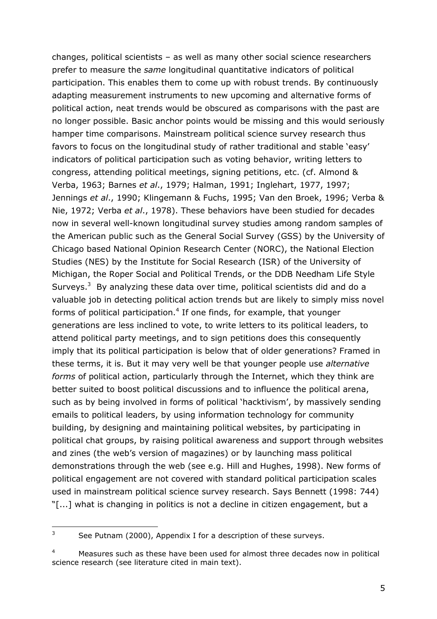$changes$ , political scientists  $-$  as well as many other social science researchers prefer to measure the same longitudinal quantitative indicators of political participation. This enables them to come up with robust trends. By continuously adapting measurement instruments to new upcoming and alternative forms of political action, neat trends would be obscured as comparisons with the past are no longer possible. Basic anchor points would be missing and this would seriously hamper time comparisons. Mainstream political science survey research thus favors to focus on the longitudinal study of rather traditional and stable 'easy' indicators of political participation such as voting behavior, writing letters to congress, attending political meetings, signing petitions, etc. (cf. Almond & Verba, 1963; Barnes et al., 1979; Halman, 1991; Inglehart, 1977, 1997; Jennings et al., 1990; Klingemann & Fuchs, 1995; Van den Broek, 1996; Verba & Nie, 1972; Verba et al., 1978). These behaviors have been studied for decades now in several well-known longitudinal survey studies among random samples of the American public such as the General Social Survey (GSS) by the University of Chicago based National Opinion Research Center (NORC), the National Election Studies (NES) by the Institute for Social Research (ISR) of the University of Michigan, the Roper Social and Political Trends, or the DDB Needham Life Style Surveys.<sup>3</sup> By analyzing these data over time, political scientists did and do a valuable job in detecting political action trends but are likely to simply miss novel forms of political participation.<sup>4</sup> If one finds, for example, that younger generations are less inclined to vote, to write letters to its political leaders, to attend political party meetings, and to sign petitions does this consequently imply that its political participation is below that of older generations? Framed in these terms, it is. But it may very well be that younger people use alternative forms of political action, particularly through the Internet, which they think are better suited to boost political discussions and to influence the political arena, such as by being involved in forms of political 'hacktivism', by massively sending emails to political leaders, by using information technology for community building, by designing and maintaining political websites, by participating in political chat groups, by raising political awareness and support through websites and zines (the web's version of magazines) or by launching mass political demonstrations through the web (see e.g. Hill and Hughes, 1998). New forms of political engagement are not covered with standard political participation scales used in mainstream political science survey research. Says Bennett (1998: 744)  $"$ [...] what is changing in politics is not a decline in citizen engagement, but a

 $3$  See Putnam (2000), Appendix I for a description of these surveys.

 $4$  Measures such as these have been used for almost three decades now in political science research (see literature cited in main text).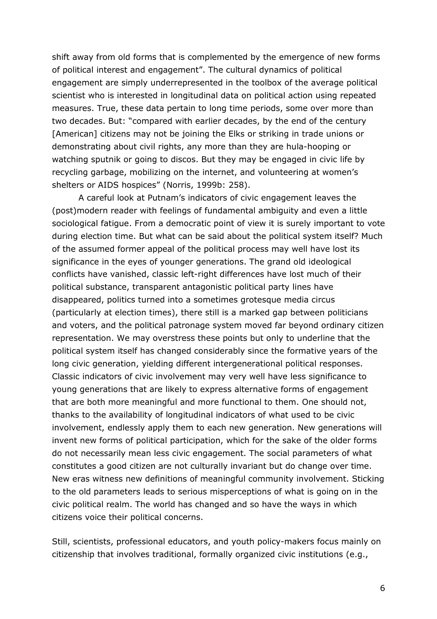shift away from old forms that is complemented by the emergence of new forms of political interest and engagement". The cultural dynamics of political engagement are simply underrepresented in the toolbox of the average political scientist who is interested in longitudinal data on political action using repeated measures. True, these data pertain to long time periods, some over more than two decades. But: "compared with earlier decades, by the end of the century [American] citizens may not be joining the Elks or striking in trade unions or demonstrating about civil rights, any more than they are hula-hooping or watching sputnik or going to discos. But they may be engaged in civic life by recycling garbage, mobilizing on the internet, and volunteering at women's shelters or AIDS hospices" (Norris, 1999b: 258).

A careful look at Putnam's indicators of civic engagement leaves the (post) modern reader with feelings of fundamental ambiguity and even a little sociological fatigue. From a democratic point of view it is surely important to vote during election time. But what can be said about the political system itself? Much of the assumed former appeal of the political process may well have lost its significance in the eyes of younger generations. The grand old ideological conflicts have vanished, classic left-right differences have lost much of their political substance, transparent antagonistic political party lines have disappeared, politics turned into a sometimes grotesque media circus (particularly at election times), there still is a marked gap between politicians and voters, and the political patronage system moved far beyond ordinary citizen representation. We may overstress these points but only to underline that the political system itself has changed considerably since the formative years of the long civic generation, yielding different intergenerational political responses. Classic indicators of civic involvement may very well have less significance to young generations that are likely to express alternative forms of engagement that are both more meaningful and more functional to them. One should not, thanks to the availability of longitudinal indicators of what used to be civic involvement, endlessly apply them to each new generation. New generations will invent new forms of political participation, which for the sake of the older forms do not necessarily mean less civic engagement. The social parameters of what constitutes a good citizen are not culturally invariant but do change over time. New eras witness new definitions of meaningful community involvement. Sticking to the old parameters leads to serious misperceptions of what is going on in the civic political realm. The world has changed and so have the ways in which citizens voice their political concerns.

Still, scientists, professional educators, and youth policy-makers focus mainly on citizenship that involves traditional, formally organized civic institutions (e.g.,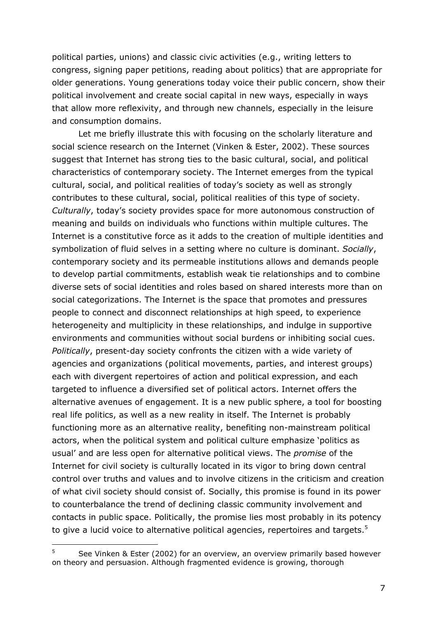political parties, unions) and classic civic activities (e.g., writing letters to congress, signing paper petitions, reading about politics) that are appropriate for older generations. Young generations today voice their public concern, show their political involvement and create social capital in new ways, especially in ways that allow more reflexivity, and through new channels, especially in the leisure and consumption domains.

Let me briefly illustrate this with focusing on the scholarly literature and social science research on the Internet (Vinken & Ester, 2002). These sources suggest that Internet has strong ties to the basic cultural, social, and political characteristics of contemporary society. The Internet emerges from the typical cultural, social, and political realities of today's society as well as strongly contributes to these cultural, social, political realities of this type of society. Culturally, today's society provides space for more autonomous construction of meaning and builds on individuals who functions within multiple cultures. The Internet is a constitutive force as it adds to the creation of multiple identities and symbolization of fluid selves in a setting where no culture is dominant. Socially, contemporary society and its permeable institutions allows and demands people to develop partial commitments, establish weak tie relationships and to combine diverse sets of social identities and roles based on shared interests more than on social categorizations. The Internet is the space that promotes and pressures people to connect and disconnect relationships at high speed, to experience heterogeneity and multiplicity in these relationships, and indulge in supportive environments and communities without social burdens or inhibiting social cues. Politically, present-day society confronts the citizen with a wide variety of agencies and organizations (political movements, parties, and interest groups) each with divergent repertoires of action and political expression, and each targeted to influence a diversified set of political actors. Internet offers the alternative avenues of engagement. It is a new public sphere, a tool for boosting real life politics, as well as a new reality in itself. The Internet is probably functioning more as an alternative reality, benefiting non-mainstream political actors, when the political system and political culture emphasize 'politics as usual' and are less open for alternative political views. The promise of the Internet for civil society is culturally located in its vigor to bring down central control over truths and values and to involve citizens in the criticism and creation of what civil society should consist of. Socially, this promise is found in its power to counterbalance the trend of declining classic community involvement and contacts in public space. Politically, the promise lies most probably in its potency to give a lucid voice to alternative political agencies, repertoires and targets.<sup>5</sup>

 $\overline{5}$ See Vinken & Ester (2002) for an overview, an overview primarily based however on theory and persuasion. Although fragmented evidence is growing, thorough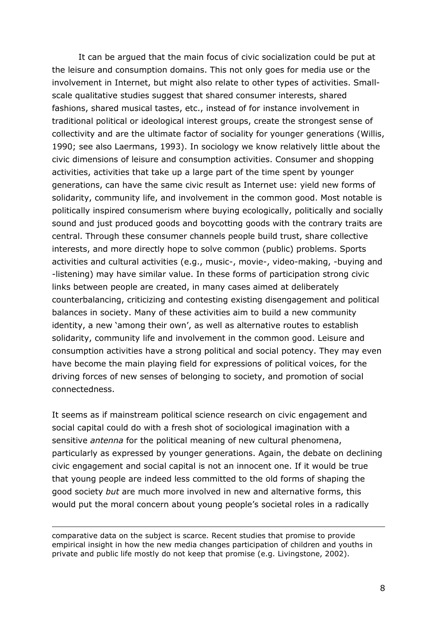It can be argued that the main focus of civic socialization could be put at the leisure and consumption domains. This not only goes for media use or the involvement in Internet, but might also relate to other types of activities. Smallscale qualitative studies suggest that shared consumer interests, shared fashions, shared musical tastes, etc., instead of for instance involvement in traditional political or ideological interest groups, create the strongest sense of collectivity and are the ultimate factor of sociality for younger generations (Willis, 1990; see also Laermans, 1993). In sociology we know relatively little about the civic dimensions of leisure and consumption activities. Consumer and shopping activities, activities that take up a large part of the time spent by younger generations, can have the same civic result as Internet use: yield new forms of solidarity, community life, and involvement in the common good. Most notable is politically inspired consumerism where buying ecologically, politically and socially sound and just produced goods and boycotting goods with the contrary traits are central. Through these consumer channels people build trust, share collective interests, and more directly hope to solve common (public) problems. Sports activities and cultural activities (e.g., music-, movie-, video-making, -buying and -listening) may have similar value. In these forms of participation strong civic links between people are created, in many cases aimed at deliberately counterbalancing, criticizing and contesting existing disengagement and political balances in society. Many of these activities aim to build a new community identity, a new 'among their own', as well as alternative routes to establish solidarity, community life and involvement in the common good. Leisure and consumption activities have a strong political and social potency. They may even have become the main playing field for expressions of political voices, for the driving forces of new senses of belonging to society, and promotion of social connectedness.

It seems as if mainstream political science research on civic engagement and social capital could do with a fresh shot of sociological imagination with a sensitive antenna for the political meaning of new cultural phenomena, particularly as expressed by younger generations. Again, the debate on declining civic engagement and social capital is not an innocent one. If it would be true that young people are indeed less committed to the old forms of shaping the good society but are much more involved in new and alternative forms, this would put the moral concern about young people's societal roles in a radically

comparative data on the subject is scarce. Recent studies that promise to provide empirical insight in how the new media changes participation of children and vouths in private and public life mostly do not keep that promise (e.g. Livingstone, 2002).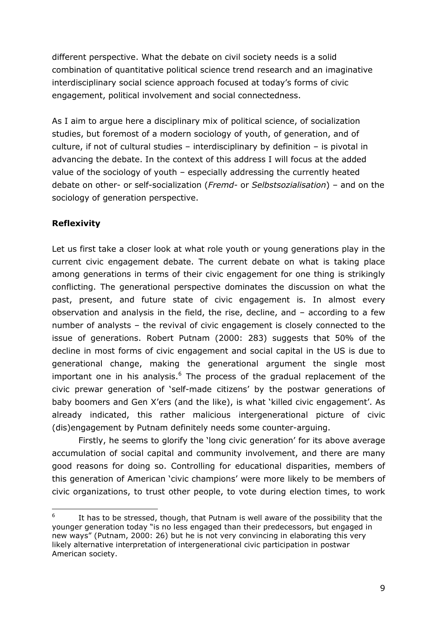different perspective. What the debate on civil society needs is a solid combination of quantitative political science trend research and an imaginative interdisciplinary social science approach focused at today's forms of civic engagement, political involvement and social connectedness.

As I aim to arque here a disciplinary mix of political science, of socialization studies, but foremost of a modern sociology of youth, of generation, and of culture, if not of cultural studies - interdisciplinary by definition - is pivotal in advancing the debate. In the context of this address I will focus at the added value of the sociology of youth - especially addressing the currently heated debate on other- or self-socialization (Fremd- or Selbstsozialisation) - and on the sociology of generation perspective.

## **Reflexivity**

Let us first take a closer look at what role youth or young generations play in the current civic engagement debate. The current debate on what is taking place among generations in terms of their civic engagement for one thing is strikingly conflicting. The generational perspective dominates the discussion on what the past, present, and future state of civic engagement is. In almost every observation and analysis in the field, the rise, decline, and  $-$  according to a few number of analysts - the revival of civic engagement is closely connected to the issue of generations. Robert Putnam (2000: 283) suggests that 50% of the decline in most forms of civic engagement and social capital in the US is due to generational change, making the generational argument the single most important one in his analysis.<sup>6</sup> The process of the gradual replacement of the civic prewar generation of 'self-made citizens' by the postwar generations of baby boomers and Gen X'ers (and the like), is what 'killed civic engagement'. As already indicated, this rather malicious intergenerational picture of civic (dis)engagement by Putnam definitely needs some counter-arguing.

Firstly, he seems to glorify the 'long civic generation' for its above average accumulation of social capital and community involvement, and there are many good reasons for doing so. Controlling for educational disparities, members of this generation of American 'civic champions' were more likely to be members of civic organizations, to trust other people, to vote during election times, to work

 $6\overline{6}$ It has to be stressed, though, that Putnam is well aware of the possibility that the younger generation today "is no less engaged than their predecessors, but engaged in new ways" (Putnam, 2000: 26) but he is not very convincing in elaborating this very likely alternative interpretation of intergenerational civic participation in postwar American society.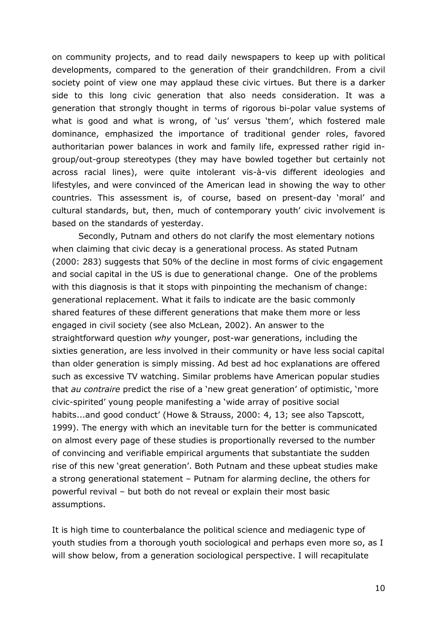on community projects, and to read daily newspapers to keep up with political developments, compared to the generation of their grandchildren. From a civil society point of view one may applaud these civic virtues. But there is a darker side to this long civic generation that also needs consideration. It was a generation that strongly thought in terms of rigorous bi-polar value systems of what is good and what is wrong, of 'us' versus 'them', which fostered male dominance, emphasized the importance of traditional gender roles, favored authoritarian power balances in work and family life, expressed rather rigid ingroup/out-group stereotypes (they may have bowled together but certainly not across racial lines), were quite intolerant vis-à-vis different ideologies and lifestyles, and were convinced of the American lead in showing the way to other countries. This assessment is, of course, based on present-day 'moral' and cultural standards, but, then, much of contemporary youth' civic involvement is based on the standards of yesterday.

Secondly, Putnam and others do not clarify the most elementary notions when claiming that civic decay is a generational process. As stated Putnam (2000: 283) suggests that 50% of the decline in most forms of civic engagement and social capital in the US is due to generational change. One of the problems with this diagnosis is that it stops with pinpointing the mechanism of change: generational replacement. What it fails to indicate are the basic commonly shared features of these different generations that make them more or less engaged in civil society (see also McLean, 2002). An answer to the straightforward question why younger, post-war generations, including the sixties generation, are less involved in their community or have less social capital than older generation is simply missing. Ad best ad hoc explanations are offered such as excessive TV watching. Similar problems have American popular studies that au contraire predict the rise of a 'new great generation' of optimistic, 'more civic-spirited' young people manifesting a 'wide array of positive social habits...and good conduct' (Howe & Strauss, 2000: 4, 13; see also Tapscott, 1999). The energy with which an inevitable turn for the better is communicated on almost every page of these studies is proportionally reversed to the number of convincing and verifiable empirical arguments that substantiate the sudden rise of this new 'great generation'. Both Putnam and these upbeat studies make a strong generational statement - Putnam for alarming decline, the others for powerful revival - but both do not reveal or explain their most basic assumptions.

It is high time to counterbalance the political science and mediagenic type of youth studies from a thorough youth sociological and perhaps even more so, as I will show below, from a generation sociological perspective. I will recapitulate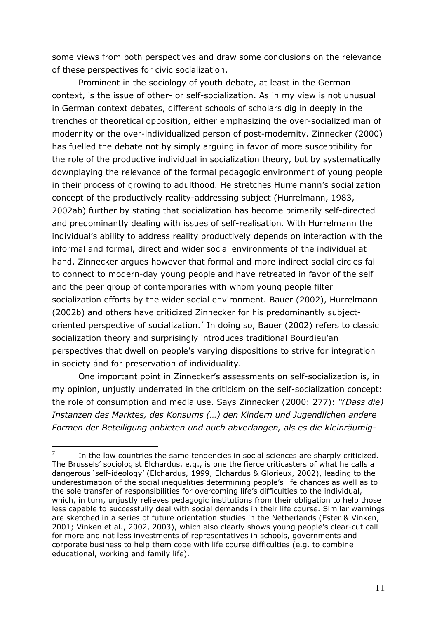some views from both perspectives and draw some conclusions on the relevance of these perspectives for civic socialization.

Prominent in the sociology of youth debate, at least in the German context, is the issue of other- or self-socialization. As in my view is not unusual in German context debates, different schools of scholars dig in deeply in the trenches of theoretical opposition, either emphasizing the over-socialized man of modernity or the over-individualized person of post-modernity. Zinnecker (2000) has fuelled the debate not by simply arguing in favor of more susceptibility for the role of the productive individual in socialization theory, but by systematically downplaying the relevance of the formal pedagogic environment of young people in their process of growing to adulthood. He stretches Hurrelmann's socialization concept of the productively reality-addressing subject (Hurrelmann, 1983, 2002ab) further by stating that socialization has become primarily self-directed and predominantly dealing with issues of self-realisation. With Hurrelmann the individual's ability to address reality productively depends on interaction with the informal and formal, direct and wider social environments of the individual at hand. Zinnecker argues however that formal and more indirect social circles fail to connect to modern-day young people and have retreated in favor of the self and the peer group of contemporaries with whom young people filter socialization efforts by the wider social environment. Bauer (2002), Hurrelmann (2002b) and others have criticized Zinnecker for his predominantly subjectoriented perspective of socialization.<sup>7</sup> In doing so, Bauer (2002) refers to classic socialization theory and surprisingly introduces traditional Bourdieu'an perspectives that dwell on people's varying dispositions to strive for integration in society ánd for preservation of individuality.

One important point in Zinnecker's assessments on self-socialization is, in my opinion, unjustly underrated in the criticism on the self-socialization concept: the role of consumption and media use. Says Zinnecker (2000: 277): "(Dass die) Instanzen des Marktes, des Konsums (...) den Kindern und Jugendlichen andere Formen der Beteiligung anbieten und auch abverlangen, als es die kleinräumig-

 $\overline{7}$ In the low countries the same tendencies in social sciences are sharply criticized. The Brussels' sociologist Elchardus, e.g., is one the fierce criticasters of what he calls a dangerous 'self-ideology' (Elchardus, 1999, Elchardus & Glorieux, 2002), leading to the underestimation of the social inequalities determining people's life chances as well as to the sole transfer of responsibilities for overcoming life's difficulties to the individual, which, in turn, unjustly relieves pedagogic institutions from their obligation to help those less capable to successfully deal with social demands in their life course. Similar warnings are sketched in a series of future orientation studies in the Netherlands (Ester & Vinken, 2001; Vinken et al., 2002, 2003), which also clearly shows young people's clear-cut call for more and not less investments of representatives in schools, governments and corporate business to help them cope with life course difficulties (e.g. to combine educational, working and family life).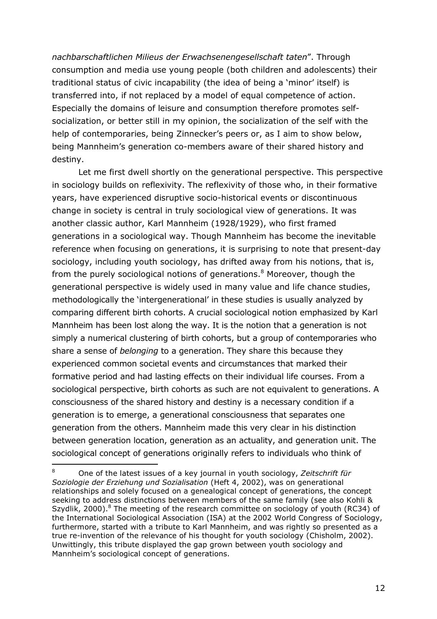nachbarschaftlichen Milieus der Erwachsenengesellschaft taten". Through consumption and media use young people (both children and adolescents) their traditional status of civic incapability (the idea of being a 'minor' itself) is transferred into, if not replaced by a model of equal competence of action. Especially the domains of leisure and consumption therefore promotes selfsocialization, or better still in my opinion, the socialization of the self with the help of contemporaries, being Zinnecker's peers or, as I aim to show below, being Mannheim's generation co-members aware of their shared history and destiny.

Let me first dwell shortly on the generational perspective. This perspective in sociology builds on reflexivity. The reflexivity of those who, in their formative years, have experienced disruptive socio-historical events or discontinuous change in society is central in truly sociological view of generations. It was another classic author, Karl Mannheim (1928/1929), who first framed generations in a sociological way. Though Mannheim has become the inevitable reference when focusing on generations, it is surprising to note that present-day sociology, including youth sociology, has drifted away from his notions, that is, from the purely sociological notions of generations.<sup>8</sup> Moreover, though the generational perspective is widely used in many value and life chance studies, methodologically the 'intergenerational' in these studies is usually analyzed by comparing different birth cohorts. A crucial sociological notion emphasized by Karl Mannheim has been lost along the way. It is the notion that a generation is not simply a numerical clustering of birth cohorts, but a group of contemporaries who share a sense of *belonging* to a generation. They share this because they experienced common societal events and circumstances that marked their formative period and had lasting effects on their individual life courses. From a sociological perspective, birth cohorts as such are not equivalent to generations. A consciousness of the shared history and destiny is a necessary condition if a generation is to emerge, a generational consciousness that separates one generation from the others. Mannheim made this very clear in his distinction between generation location, generation as an actuality, and generation unit. The sociological concept of generations originally refers to individuals who think of

One of the latest issues of a key journal in youth sociology, Zeitschrift für Soziologie der Erziehung und Sozialisation (Heft 4, 2002), was on generational relationships and solely focused on a genealogical concept of generations, the concept seeking to address distinctions between members of the same family (see also Kohli & Szydlik, 2000).<sup>8</sup> The meeting of the research committee on sociology of youth (RC34) of the International Sociological Association (ISA) at the 2002 World Congress of Sociology, furthermore, started with a tribute to Karl Mannheim, and was rightly so presented as a true re-invention of the relevance of his thought for youth sociology (Chisholm, 2002). Unwittingly, this tribute displayed the gap grown between youth sociology and Mannheim's sociological concept of generations.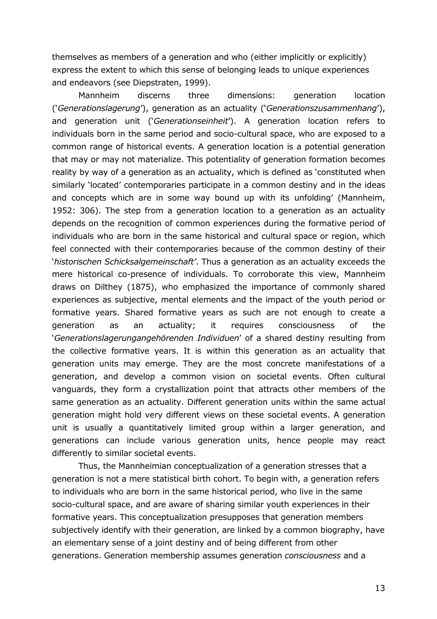themselves as members of a generation and who (either implicitly or explicitly) express the extent to which this sense of belonging leads to unique experiences and endeavors (see Diepstraten, 1999).

**Mannheim** discerns three dimensions: generation location ('Generationslagerung'), generation as an actuality ('Generationszusammenhang'), and generation unit ('Generationseinheit'). A generation location refers to individuals born in the same period and socio-cultural space, who are exposed to a common range of historical events. A generation location is a potential generation that may or may not materialize. This potentiality of generation formation becomes reality by way of a generation as an actuality, which is defined as 'constituted when similarly 'located' contemporaries participate in a common destiny and in the ideas and concepts which are in some way bound up with its unfolding' (Mannheim, 1952: 306). The step from a generation location to a generation as an actuality depends on the recognition of common experiences during the formative period of individuals who are born in the same historical and cultural space or region, which feel connected with their contemporaries because of the common destiny of their 'historischen Schicksalgemeinschaft'. Thus a generation as an actuality exceeds the mere historical co-presence of individuals. To corroborate this view, Mannheim draws on Dilthey (1875), who emphasized the importance of commonly shared experiences as subjective, mental elements and the impact of the youth period or formative years. Shared formative years as such are not enough to create a qeneration as an actuality; it requires consciousness <sub>of</sub> the 'Generationslagerungangehörenden Individuen' of a shared destiny resulting from the collective formative years. It is within this generation as an actuality that generation units may emerge. They are the most concrete manifestations of a generation, and develop a common vision on societal events. Often cultural vanguards, they form a crystallization point that attracts other members of the same generation as an actuality. Different generation units within the same actual generation might hold very different views on these societal events. A generation unit is usually a quantitatively limited group within a larger generation, and generations can include various generation units, hence people may react differently to similar societal events.

Thus, the Mannheimian conceptualization of a generation stresses that a generation is not a mere statistical birth cohort. To begin with, a generation refers to individuals who are born in the same historical period, who live in the same socio-cultural space, and are aware of sharing similar youth experiences in their formative years. This conceptualization presupposes that generation members subjectively identify with their generation, are linked by a common biography, have an elementary sense of a joint destiny and of being different from other generations. Generation membership assumes generation consciousness and a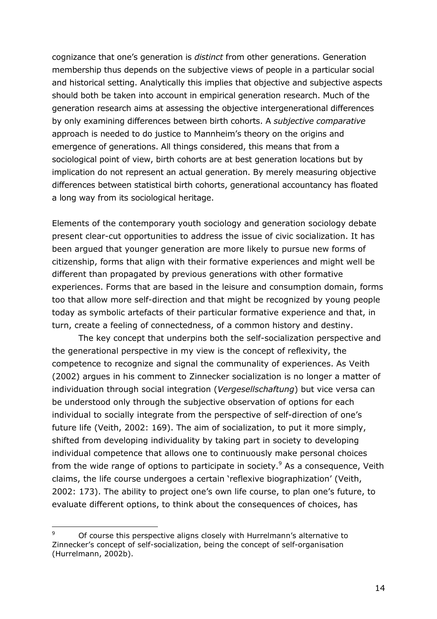cognizance that one's generation is *distinct* from other generations. Generation membership thus depends on the subjective views of people in a particular social and historical setting. Analytically this implies that objective and subjective aspects should both be taken into account in empirical generation research. Much of the generation research aims at assessing the objective intergenerational differences by only examining differences between birth cohorts. A subjective comparative approach is needed to do justice to Mannheim's theory on the origins and emergence of generations. All things considered, this means that from a sociological point of view, birth cohorts are at best generation locations but by implication do not represent an actual generation. By merely measuring objective differences between statistical birth cohorts, generational accountancy has floated a long way from its sociological heritage.

Elements of the contemporary youth sociology and generation sociology debate present clear-cut opportunities to address the issue of civic socialization. It has been arqued that younger generation are more likely to pursue new forms of citizenship, forms that align with their formative experiences and might well be different than propagated by previous generations with other formative experiences. Forms that are based in the leisure and consumption domain, forms too that allow more self-direction and that might be recognized by young people today as symbolic artefacts of their particular formative experience and that, in turn, create a feeling of connectedness, of a common history and destiny.

The key concept that underpins both the self-socialization perspective and the generational perspective in my view is the concept of reflexivity, the competence to recognize and signal the communality of experiences. As Veith (2002) argues in his comment to Zinnecker socialization is no longer a matter of individuation through social integration (Vergesellschaftung) but vice versa can be understood only through the subjective observation of options for each individual to socially integrate from the perspective of self-direction of one's future life (Veith, 2002: 169). The aim of socialization, to put it more simply, shifted from developing individuality by taking part in society to developing individual competence that allows one to continuously make personal choices from the wide range of options to participate in society.<sup>9</sup> As a consequence, Veith claims, the life course undergoes a certain 'reflexive biographization' (Veith, 2002: 173). The ability to project one's own life course, to plan one's future, to evaluate different options, to think about the consequences of choices, has

 $\mathsf{q}$ Of course this perspective aligns closely with Hurrelmann's alternative to Zinnecker's concept of self-socialization, being the concept of self-organisation (Hurrelmann, 2002b).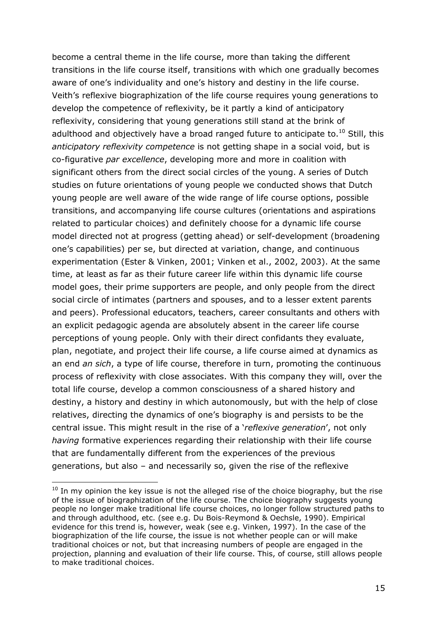become a central theme in the life course, more than taking the different transitions in the life course itself, transitions with which one gradually becomes aware of one's individuality and one's history and destiny in the life course. Veith's reflexive biographization of the life course requires young generations to develop the competence of reflexivity, be it partly a kind of anticipatory reflexivity, considering that young generations still stand at the brink of adulthood and objectively have a broad ranged future to anticipate to.<sup>10</sup> Still, this anticipatory reflexivity competence is not getting shape in a social void, but is co-figurative par excellence, developing more and more in coalition with significant others from the direct social circles of the young. A series of Dutch studies on future orientations of young people we conducted shows that Dutch young people are well aware of the wide range of life course options, possible transitions, and accompanying life course cultures (orientations and aspirations related to particular choices) and definitely choose for a dynamic life course model directed not at progress (getting ahead) or self-development (broadening one's capabilities) per se, but directed at variation, change, and continuous experimentation (Ester & Vinken, 2001; Vinken et al., 2002, 2003). At the same time, at least as far as their future career life within this dynamic life course model goes, their prime supporters are people, and only people from the direct social circle of intimates (partners and spouses, and to a lesser extent parents and peers). Professional educators, teachers, career consultants and others with an explicit pedagogic agenda are absolutely absent in the career life course perceptions of young people. Only with their direct confidants they evaluate, plan, negotiate, and project their life course, a life course aimed at dynamics as an end an sich, a type of life course, therefore in turn, promoting the continuous process of reflexivity with close associates. With this company they will, over the total life course, develop a common consciousness of a shared history and destiny, a history and destiny in which autonomously, but with the help of close relatives, directing the dynamics of one's biography is and persists to be the central issue. This might result in the rise of a 'reflexive generation', not only having formative experiences regarding their relationship with their life course that are fundamentally different from the experiences of the previous generations, but also - and necessarily so, given the rise of the reflexive

 $10$  In my opinion the key issue is not the alleged rise of the choice biography, but the rise of the issue of biographization of the life course. The choice biography suggests young people no longer make traditional life course choices, no longer follow structured paths to and through adulthood, etc. (see e.g. Du Bois-Reymond & Oechsle, 1990). Empirical evidence for this trend is, however, weak (see e.g. Vinken, 1997). In the case of the biographization of the life course, the issue is not whether people can or will make traditional choices or not, but that increasing numbers of people are engaged in the projection, planning and evaluation of their life course. This, of course, still allows people to make traditional choices.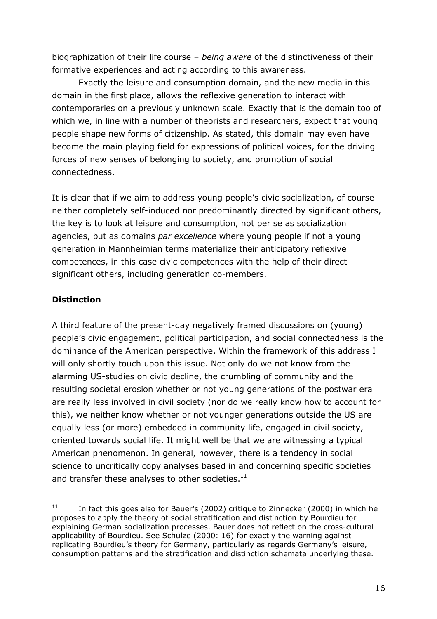biographization of their life course  $-$  being aware of the distinctiveness of their formative experiences and acting according to this awareness.

Exactly the leisure and consumption domain, and the new media in this domain in the first place, allows the reflexive generation to interact with contemporaries on a previously unknown scale. Exactly that is the domain too of which we, in line with a number of theorists and researchers, expect that young people shape new forms of citizenship. As stated, this domain may even have become the main playing field for expressions of political voices, for the driving forces of new senses of belonging to society, and promotion of social connectedness.

It is clear that if we aim to address young people's civic socialization, of course neither completely self-induced nor predominantly directed by significant others, the key is to look at leisure and consumption, not per se as socialization agencies, but as domains par excellence where young people if not a young generation in Mannheimian terms materialize their anticipatory reflexive competences, in this case civic competences with the help of their direct significant others, including generation co-members.

# **Distinction**

A third feature of the present-day negatively framed discussions on (young) people's civic engagement, political participation, and social connectedness is the dominance of the American perspective. Within the framework of this address I will only shortly touch upon this issue. Not only do we not know from the alarming US-studies on civic decline, the crumbling of community and the resulting societal erosion whether or not young generations of the postwar era are really less involved in civil society (nor do we really know how to account for this), we neither know whether or not younger generations outside the US are equally less (or more) embedded in community life, engaged in civil society, oriented towards social life. It might well be that we are witnessing a typical American phenomenon. In general, however, there is a tendency in social science to uncritically copy analyses based in and concerning specific societies and transfer these analyses to other societies.<sup>11</sup>

 $11$ In fact this goes also for Bauer's (2002) critique to Zinnecker (2000) in which he proposes to apply the theory of social stratification and distinction by Bourdieu for explaining German socialization processes. Bauer does not reflect on the cross-cultural applicability of Bourdieu. See Schulze (2000: 16) for exactly the warning against replicating Bourdieu's theory for Germany, particularly as regards Germany's leisure, consumption patterns and the stratification and distinction schemata underlying these.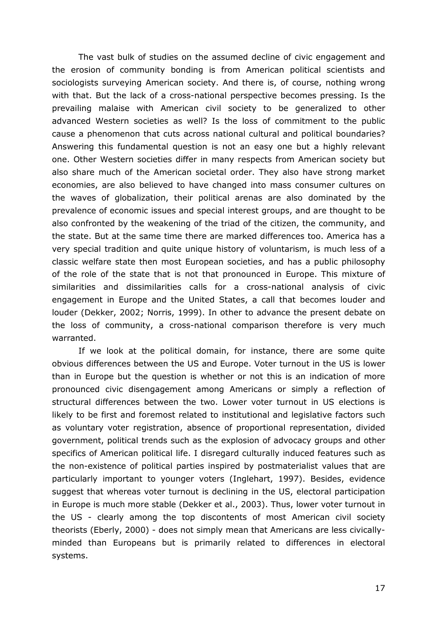The vast bulk of studies on the assumed decline of civic engagement and the erosion of community bonding is from American political scientists and sociologists surveying American society. And there is, of course, nothing wrong with that. But the lack of a cross-national perspective becomes pressing. Is the prevailing malaise with American civil society to be generalized to other advanced Western societies as well? Is the loss of commitment to the public cause a phenomenon that cuts across national cultural and political boundaries? Answering this fundamental question is not an easy one but a highly relevant one. Other Western societies differ in many respects from American society but also share much of the American societal order. They also have strong market economies, are also believed to have changed into mass consumer cultures on the waves of globalization, their political arenas are also dominated by the prevalence of economic issues and special interest groups, and are thought to be also confronted by the weakening of the triad of the citizen, the community, and the state. But at the same time there are marked differences too. America has a very special tradition and quite unique history of voluntarism, is much less of a classic welfare state then most European societies, and has a public philosophy of the role of the state that is not that pronounced in Europe. This mixture of similarities and dissimilarities calls for a cross-national analysis of civic engagement in Europe and the United States, a call that becomes louder and louder (Dekker, 2002; Norris, 1999). In other to advance the present debate on the loss of community, a cross-national comparison therefore is very much warranted.

If we look at the political domain, for instance, there are some quite obvious differences between the US and Europe. Voter turnout in the US is lower than in Europe but the question is whether or not this is an indication of more pronounced civic disengagement among Americans or simply a reflection of structural differences between the two. Lower voter turnout in US elections is likely to be first and foremost related to institutional and legislative factors such as voluntary voter registration, absence of proportional representation, divided government, political trends such as the explosion of advocacy groups and other specifics of American political life. I disregard culturally induced features such as the non-existence of political parties inspired by postmaterialist values that are particularly important to younger voters (Inglehart, 1997). Besides, evidence suggest that whereas voter turnout is declining in the US, electoral participation in Europe is much more stable (Dekker et al., 2003). Thus, lower voter turnout in the US - clearly among the top discontents of most American civil society theorists (Eberly, 2000) - does not simply mean that Americans are less civicallyminded than Europeans but is primarily related to differences in electoral systems.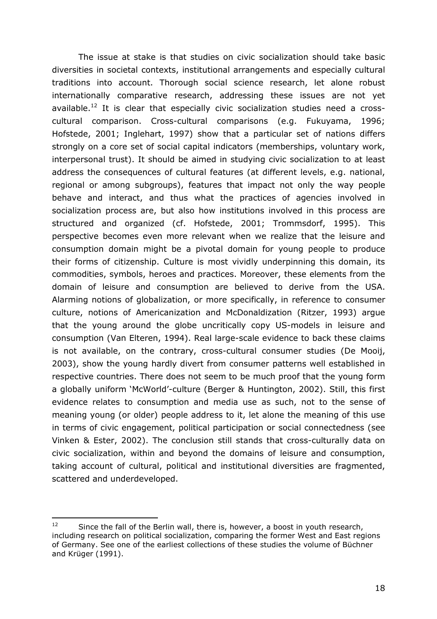The issue at stake is that studies on civic socialization should take basic diversities in societal contexts, institutional arrangements and especially cultural traditions into account. Thorough social science research, let alone robust internationally comparative research, addressing these issues are not yet available.<sup>12</sup> It is clear that especially civic socialization studies need a crosscultural comparison. Cross-cultural comparisons (e.g. Fukuyama, 1996; Hofstede, 2001; Inglehart, 1997) show that a particular set of nations differs strongly on a core set of social capital indicators (memberships, voluntary work, interpersonal trust). It should be aimed in studying civic socialization to at least address the consequences of cultural features (at different levels, e.g. national, regional or among subgroups), features that impact not only the way people behave and interact, and thus what the practices of agencies involved in socialization process are, but also how institutions involved in this process are structured and organized (cf. Hofstede, 2001; Trommsdorf, 1995). This perspective becomes even more relevant when we realize that the leisure and consumption domain might be a pivotal domain for young people to produce their forms of citizenship. Culture is most vividly underpinning this domain, its commodities, symbols, heroes and practices. Moreover, these elements from the domain of leisure and consumption are believed to derive from the USA. Alarming notions of globalization, or more specifically, in reference to consumer culture, notions of Americanization and McDonaldization (Ritzer, 1993) argue that the young around the globe uncritically copy US-models in leisure and consumption (Van Elteren, 1994). Real large-scale evidence to back these claims is not available, on the contrary, cross-cultural consumer studies (De Mooij, 2003), show the young hardly divert from consumer patterns well established in respective countries. There does not seem to be much proof that the young form a globally uniform 'McWorld'-culture (Berger & Huntington, 2002). Still, this first evidence relates to consumption and media use as such, not to the sense of meaning young (or older) people address to it, let alone the meaning of this use in terms of civic engagement, political participation or social connectedness (see Vinken & Ester, 2002). The conclusion still stands that cross-culturally data on civic socialization, within and beyond the domains of leisure and consumption, taking account of cultural, political and institutional diversities are fragmented, scattered and underdeveloped.

<sup>12</sup> Since the fall of the Berlin wall, there is, however, a boost in youth research, including research on political socialization, comparing the former West and East regions of Germany. See one of the earliest collections of these studies the volume of Büchner and Krüger (1991).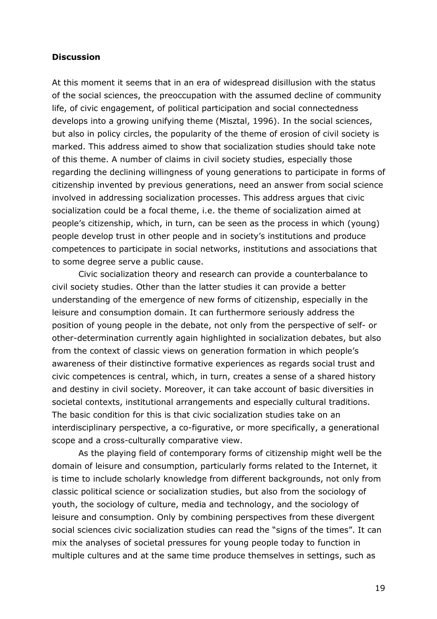#### **Discussion**

At this moment it seems that in an era of widespread disillusion with the status of the social sciences, the preoccupation with the assumed decline of community life, of civic engagement, of political participation and social connectedness develops into a growing unifying theme (Misztal, 1996). In the social sciences, but also in policy circles, the popularity of the theme of erosion of civil society is marked. This address aimed to show that socialization studies should take note of this theme. A number of claims in civil society studies, especially those regarding the declining willingness of young generations to participate in forms of citizenship invented by previous generations, need an answer from social science involved in addressing socialization processes. This address argues that civic socialization could be a focal theme, i.e. the theme of socialization aimed at people's citizenship, which, in turn, can be seen as the process in which (young) people develop trust in other people and in society's institutions and produce competences to participate in social networks, institutions and associations that to some degree serve a public cause.

Civic socialization theory and research can provide a counterbalance to civil society studies. Other than the latter studies it can provide a better understanding of the emergence of new forms of citizenship, especially in the leisure and consumption domain. It can furthermore seriously address the position of young people in the debate, not only from the perspective of self- or other-determination currently again highlighted in socialization debates, but also from the context of classic views on generation formation in which people's awareness of their distinctive formative experiences as regards social trust and civic competences is central, which, in turn, creates a sense of a shared history and destiny in civil society. Moreover, it can take account of basic diversities in societal contexts, institutional arrangements and especially cultural traditions. The basic condition for this is that civic socialization studies take on an interdisciplinary perspective, a co-figurative, or more specifically, a generational scope and a cross-culturally comparative view.

As the playing field of contemporary forms of citizenship might well be the domain of leisure and consumption, particularly forms related to the Internet, it is time to include scholarly knowledge from different backgrounds, not only from classic political science or socialization studies, but also from the sociology of youth, the sociology of culture, media and technology, and the sociology of leisure and consumption. Only by combining perspectives from these divergent social sciences civic socialization studies can read the "signs of the times". It can mix the analyses of societal pressures for young people today to function in multiple cultures and at the same time produce themselves in settings, such as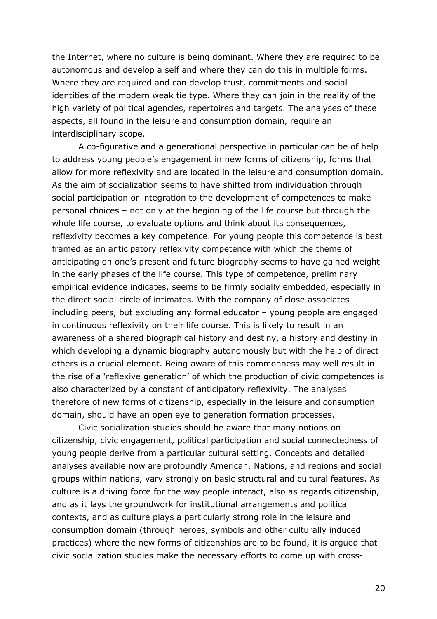the Internet, where no culture is being dominant. Where they are required to be autonomous and develop a self and where they can do this in multiple forms. Where they are required and can develop trust, commitments and social identities of the modern weak tie type. Where they can join in the reality of the high variety of political agencies, repertoires and targets. The analyses of these aspects, all found in the leisure and consumption domain, require an interdisciplinary scope.

A co-figurative and a generational perspective in particular can be of help to address young people's engagement in new forms of citizenship, forms that allow for more reflexivity and are located in the leisure and consumption domain. As the aim of socialization seems to have shifted from individuation through social participation or integration to the development of competences to make personal choices - not only at the beginning of the life course but through the whole life course, to evaluate options and think about its consequences, reflexivity becomes a key competence. For young people this competence is best framed as an anticipatory reflexivity competence with which the theme of anticipating on one's present and future biography seems to have gained weight in the early phases of the life course. This type of competence, preliminary empirical evidence indicates, seems to be firmly socially embedded, especially in the direct social circle of intimates. With the company of close associates including peers, but excluding any formal educator - young people are engaged in continuous reflexivity on their life course. This is likely to result in an awareness of a shared biographical history and destiny, a history and destiny in which developing a dynamic biography autonomously but with the help of direct others is a crucial element. Being aware of this commonness may well result in the rise of a 'reflexive generation' of which the production of civic competences is also characterized by a constant of anticipatory reflexivity. The analyses therefore of new forms of citizenship, especially in the leisure and consumption domain, should have an open eye to generation formation processes.

Civic socialization studies should be aware that many notions on citizenship, civic engagement, political participation and social connectedness of young people derive from a particular cultural setting. Concepts and detailed analyses available now are profoundly American. Nations, and regions and social groups within nations, vary strongly on basic structural and cultural features. As culture is a driving force for the way people interact, also as regards citizenship, and as it lays the groundwork for institutional arrangements and political contexts, and as culture plays a particularly strong role in the leisure and consumption domain (through heroes, symbols and other culturally induced practices) where the new forms of citizenships are to be found, it is argued that civic socialization studies make the necessary efforts to come up with cross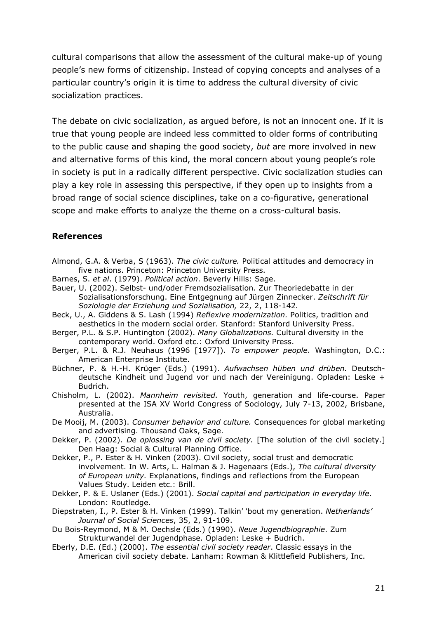cultural comparisons that allow the assessment of the cultural make-up of young people's new forms of citizenship. Instead of copying concepts and analyses of a particular country's origin it is time to address the cultural diversity of civic socialization practices.

The debate on civic socialization, as argued before, is not an innocent one. If it is true that young people are indeed less committed to older forms of contributing to the public cause and shaping the good society, but are more involved in new and alternative forms of this kind, the moral concern about young people's role in society is put in a radically different perspective. Civic socialization studies can play a key role in assessing this perspective, if they open up to insights from a broad range of social science disciplines, take on a co-figurative, generational scope and make efforts to analyze the theme on a cross-cultural basis.

### **References**

- Almond, G.A. & Verba, S (1963). The civic culture. Political attitudes and democracy in five nations. Princeton: Princeton University Press.
- Barnes, S. et al. (1979). Political action. Beverly Hills: Sage.
- Bauer, U. (2002). Selbst- und/oder Fremdsozialisation. Zur Theoriedebatte in der Sozialisationsforschung. Eine Entgegnung auf Jürgen Zinnecker. Zeitschrift für Soziologie der Erziehung und Sozialisation, 22, 2, 118-142.
- Beck, U., A. Giddens & S. Lash (1994) Reflexive modernization. Politics, tradition and aesthetics in the modern social order. Stanford: Stanford University Press.
- Berger, P.L. & S.P. Huntington (2002). Many Globalizations. Cultural diversity in the contemporary world. Oxford etc.: Oxford University Press.
- Berger, P.L. & R.J. Neuhaus (1996 [1977]). To empower people. Washington, D.C.: American Enterprise Institute.
- Büchner, P. & H.-H. Krüger (Eds.) (1991). Aufwachsen hüben und drüben. Deutschdeutsche Kindheit und Jugend vor und nach der Vereinigung, Opladen: Leske + Budrich.
- Chisholm, L. (2002). Mannheim revisited. Youth, generation and life-course. Paper presented at the ISA XV World Congress of Sociology, July 7-13, 2002, Brisbane, Australia.
- De Mooij, M. (2003). Consumer behavior and culture. Consequences for global marketing and advertising. Thousand Oaks, Sage.
- Dekker, P. (2002). De oplossing van de civil society. [The solution of the civil society.] Den Haag: Social & Cultural Planning Office.
- Dekker, P., P. Ester & H. Vinken (2003). Civil society, social trust and democratic involvement. In W. Arts, L. Halman & J. Hagenaars (Eds.), The cultural diversity of European unity. Explanations, findings and reflections from the European Values Study. Leiden etc.: Brill.
- Dekker, P. & E. Uslaner (Eds.) (2001). Social capital and participation in everyday life. London: Routledge.
- Diepstraten, I., P. Ester & H. Vinken (1999). Talkin' 'bout my generation. Netherlands' Journal of Social Sciences, 35, 2, 91-109.
- Du Bois-Reymond, M & M. Oechsle (Eds.) (1990). Neue Jugendbiographie. Zum Strukturwandel der Jugendphase, Opladen: Leske + Budrich.
- Eberly, D.E. (Ed.) (2000). The essential civil society reader. Classic essays in the American civil society debate. Lanham: Rowman & Klittlefield Publishers, Inc.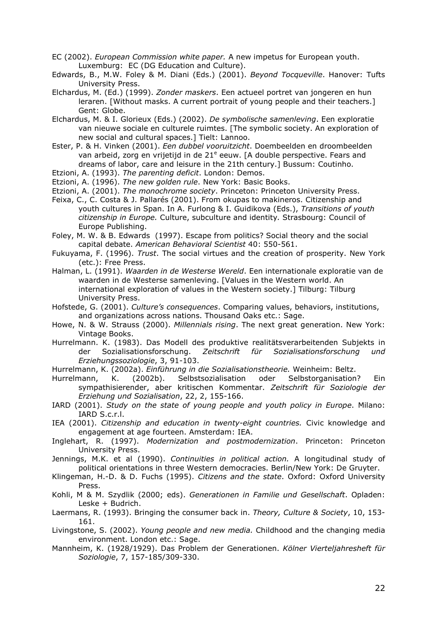- EC (2002). *European Commission white paper*. A new impetus for European youth. Luxemburg: EC (DG Education and Culture).
- Edwards, B., M.W. Foley & M. Diani (Eds.) (2001). Beyond Tocqueville. Hanover: Tufts University Press.
- Elchardus, M. (Ed.) (1999). Zonder maskers. Een actueel portret van jongeren en hun leraren. [Without masks. A current portrait of young people and their teachers.] Gent: Globe.
- Elchardus, M. & I. Glorieux (Eds.) (2002). De symbolische samenleving. Een exploratie van nieuwe sociale en culturele ruimtes. [The symbolic society. An exploration of new social and cultural spaces.] Tielt: Lannoo.
- Ester, P. & H. Vinken (2001). Een dubbel vooruitzicht. Doembeelden en droombeelden van arbeid, zorg en vrijetijd in de 21<sup>e</sup> eeuw. [A double perspective. Fears and dreams of labor, care and leisure in the 21th century.] Bussum: Coutinho.
- Etzioni, A. (1993). The parenting deficit. London: Demos.
- Etzioni, A. (1996). The new golden rule. New York: Basic Books.
- Etzioni, A. (2001). The monochrome society. Princeton: Princeton University Press.
- Feixa, C., C. Costa & J. Pallarés (2001). From okupas to makineros. Citizenship and youth cultures in Span. In A. Furlong & I. Guidikova (Eds.), Transitions of youth citizenship in Europe. Culture, subculture and identity. Strasbourg: Council of Europe Publishing.
- Foley, M. W. & B. Edwards (1997). Escape from politics? Social theory and the social capital debate. American Behavioral Scientist 40: 550-561.
- Fukuyama, F. (1996). Trust. The social virtues and the creation of prosperity. New York (etc.): Free Press.
- Halman, L. (1991). Waarden in de Westerse Wereld. Een internationale exploratie van de waarden in de Westerse samenleving. [Values in the Western world. An international exploration of values in the Western society.] Tilburg: Tilburg University Press.
- Hofstede, G. (2001). Culture's consequences. Comparing values, behaviors, institutions, and organizations across nations. Thousand Oaks etc.: Sage.
- Howe, N. & W. Strauss (2000). Millennials rising. The next great generation. New York: Vintage Books.
- Hurrelmann. K. (1983). Das Modell des produktive realitätsverarbeitenden Subjekts in Sozialisationsforschung. Zeitschrift für Sozialisationsforschung und der Erziehungssoziologie, 3, 91-103.

Hurrelmann, K. (2002a). Einführung in die Sozialisationstheorie. Weinheim: Beltz.

- Hurrelmann, K.  $(2002b).$ Selbstsozialisation oder Selbstorganisation? **Ein** sympathisierender, aber kritischen Kommentar. Zeitschrift für Soziologie der Erziehung und Sozialisation, 22, 2, 155-166.
- IARD (2001). Study on the state of young people and youth policy in Europe. Milano: IARD S.c.r.l.

IEA (2001). Citizenship and education in twenty-eight countries. Civic knowledge and engagement at age fourteen. Amsterdam: IEA.

- Inglehart, R. (1997). Modernization and postmodernization. Princeton: Princeton University Press.
- Jennings, M.K. et al (1990). Continuities in political action. A longitudinal study of political orientations in three Western democracies. Berlin/New York: De Gruyter.
- Klingeman, H.-D. & D. Fuchs (1995). Citizens and the state. Oxford: Oxford University Press.
- Kohli, M & M. Szydlik (2000; eds). Generationen in Familie und Gesellschaft. Opladen: Leske + Budrich.
- Laermans, R. (1993). Bringing the consumer back in. Theory, Culture & Society, 10, 153-161.
- Livingstone, S. (2002). Young people and new media. Childhood and the changing media environment. London etc.: Sage.
- Mannheim, K. (1928/1929). Das Problem der Generationen. Kölner Vierteljahresheft für Soziologie, 7, 157-185/309-330.